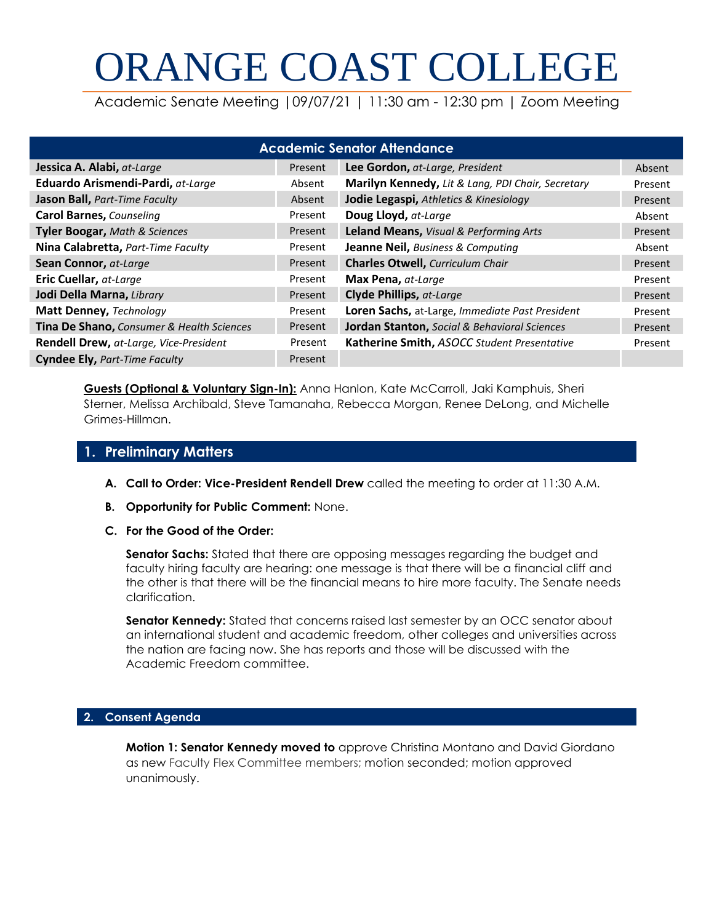# ORANGE COAST COLLEGE

Academic Senate Meeting |09/07/21 | 11:30 am - 12:30 pm | Zoom Meeting

|                                           |         | <b>Academic Senator Attendance</b>                |         |
|-------------------------------------------|---------|---------------------------------------------------|---------|
| Jessica A. Alabi, at-Large                | Present | Lee Gordon, at-Large, President                   | Absent  |
| Eduardo Arismendi-Pardi, at-Large         | Absent  | Marilyn Kennedy, Lit & Lang, PDI Chair, Secretary | Present |
| Jason Ball, Part-Time Faculty             | Absent  | Jodie Legaspi, Athletics & Kinesiology            | Present |
| <b>Carol Barnes, Counseling</b>           | Present | Doug Lloyd, at-Large                              | Absent  |
| <b>Tyler Boogar, Math &amp; Sciences</b>  | Present | Leland Means, Visual & Performing Arts            | Present |
| Nina Calabretta, Part-Time Faculty        | Present | Jeanne Neil, Business & Computing                 | Absent  |
| Sean Connor, at-Large                     | Present | <b>Charles Otwell, Curriculum Chair</b>           | Present |
| Eric Cuellar, at-Large                    | Present | Max Pena, at-Large                                | Present |
| Jodi Della Marna, Library                 | Present | <b>Clyde Phillips, at-Large</b>                   | Present |
| Matt Denney, Technology                   | Present | Loren Sachs, at-Large, Immediate Past President   | Present |
| Tina De Shano, Consumer & Health Sciences | Present | Jordan Stanton, Social & Behavioral Sciences      | Present |
| Rendell Drew, at-Large, Vice-President    | Present | Katherine Smith, ASOCC Student Presentative       | Present |
| <b>Cyndee Ely, Part-Time Faculty</b>      | Present |                                                   |         |

**Guests (Optional & Voluntary Sign-In):** Anna Hanlon, Kate McCarroll, Jaki Kamphuis, Sheri Sterner, Melissa Archibald, Steve Tamanaha, Rebecca Morgan, Renee DeLong, and Michelle Grimes-Hillman.

#### **1. Preliminary Matters**

- **A. Call to Order: Vice-President Rendell Drew** called the meeting to order at 11:30 A.M.
- **B. Opportunity for Public Comment:** None.
- **C. For the Good of the Order:**

**Senator Sachs:** Stated that there are opposing messages regarding the budget and faculty hiring faculty are hearing: one message is that there will be a financial cliff and the other is that there will be the financial means to hire more faculty. The Senate needs clarification.

**Senator Kennedy:** Stated that concerns raised last semester by an OCC senator about an international student and academic freedom, other colleges and universities across the nation are facing now. She has reports and those will be discussed with the Academic Freedom committee.

#### **2. Consent Agenda**

**Motion 1: Senator Kennedy moved to** approve Christina Montano and David Giordano as new Faculty Flex Committee members; motion seconded; motion approved unanimously.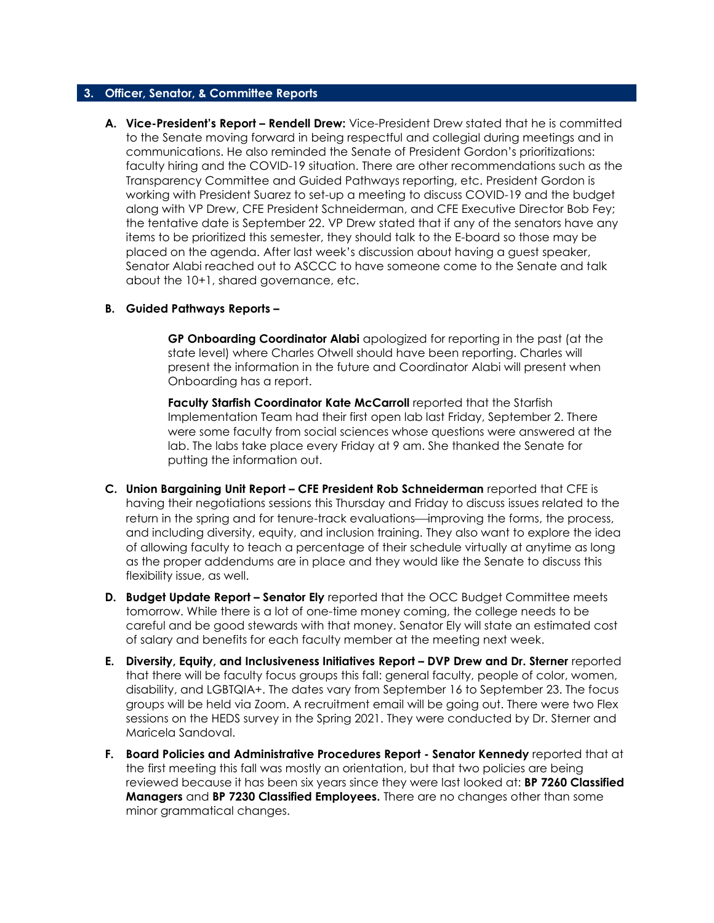#### **3. Officer, Senator, & Committee Reports**

**A. Vice-President's Report – Rendell Drew:** Vice-President Drew stated that he is committed to the Senate moving forward in being respectful and collegial during meetings and in communications. He also reminded the Senate of President Gordon's prioritizations: faculty hiring and the COVID-19 situation. There are other recommendations such as the Transparency Committee and Guided Pathways reporting, etc. President Gordon is working with President Suarez to set-up a meeting to discuss COVID-19 and the budget along with VP Drew, CFE President Schneiderman, and CFE Executive Director Bob Fey; the tentative date is September 22. VP Drew stated that if any of the senators have any items to be prioritized this semester, they should talk to the E-board so those may be placed on the agenda. After last week's discussion about having a guest speaker, Senator Alabi reached out to ASCCC to have someone come to the Senate and talk about the 10+1, shared governance, etc.

#### **B. Guided Pathways Reports –**

**GP Onboarding Coordinator Alabi** apologized for reporting in the past (at the state level) where Charles Otwell should have been reporting. Charles will present the information in the future and Coordinator Alabi will present when Onboarding has a report.

**Faculty Starfish Coordinator Kate McCarroll** reported that the Starfish Implementation Team had their first open lab last Friday, September 2. There were some faculty from social sciences whose questions were answered at the lab. The labs take place every Friday at 9 am. She thanked the Senate for putting the information out.

- **C. Union Bargaining Unit Report – CFE President Rob Schneiderman** reported that CFE is having their negotiations sessions this Thursday and Friday to discuss issues related to the return in the spring and for tenure-track evaluations—improving the forms, the process, and including diversity, equity, and inclusion training. They also want to explore the idea of allowing faculty to teach a percentage of their schedule virtually at anytime as long as the proper addendums are in place and they would like the Senate to discuss this flexibility issue, as well.
- **D. Budget Update Report – Senator Ely** reported that the OCC Budget Committee meets tomorrow. While there is a lot of one-time money coming, the college needs to be careful and be good stewards with that money. Senator Ely will state an estimated cost of salary and benefits for each faculty member at the meeting next week.
- **E. Diversity, Equity, and Inclusiveness Initiatives Report – DVP Drew and Dr. Sterner** reported that there will be faculty focus groups this fall: general faculty, people of color, women, disability, and LGBTQIA+. The dates vary from September 16 to September 23. The focus groups will be held via Zoom. A recruitment email will be going out. There were two Flex sessions on the HEDS survey in the Spring 2021. They were conducted by Dr. Sterner and Maricela Sandoval.
- **F. Board Policies and Administrative Procedures Report - Senator Kennedy** reported that at the first meeting this fall was mostly an orientation, but that two policies are being reviewed because it has been six years since they were last looked at: **BP 7260 Classified Managers** and **BP 7230 Classified Employees.** There are no changes other than some minor grammatical changes.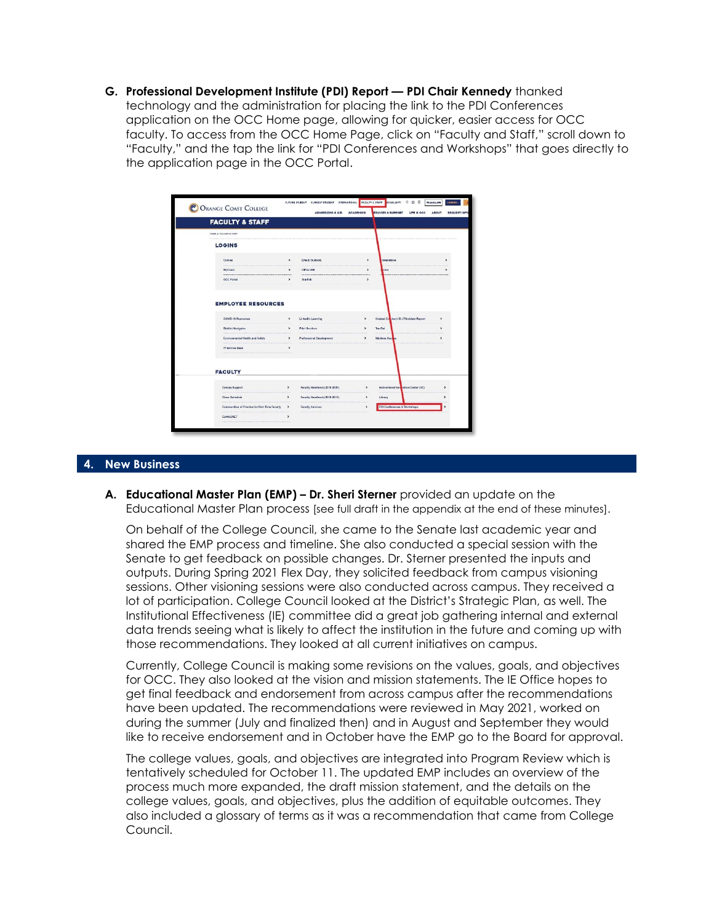**G. Professional Development Institute (PDI) Report — PDI Chair Kennedy** thanked technology and the administration for placing the link to the PDI Conferences application on the OCC Home page, allowing for quicker, easier access for OCC faculty. To access from the OCC Home Page, click on "Faculty and Staff," scroll down to "Faculty," and the tap the link for "PDI Conferences and Workshops" that goes directly to the application page in the OCC Portal.

| <b>ORANGE COAST COLLEGE</b>                                                                                  |                                             | FUTURE STUDENT CURRENT STUDENT INTERNATIONAL<br><b>ADMISSIONS &amp; AID</b>   | <b>ACADEMICS</b>                    | FAQULTY & STAFF COMMUNITY O SE<br>$\sqrt{10}$<br><b>TRANSLATE</b><br><b>ERVICES &amp; SUPPORT</b><br>LIFE @ OCC | LOOMS -<br><b>REQUEST INFO</b><br><b>ABOUT</b> |
|--------------------------------------------------------------------------------------------------------------|---------------------------------------------|-------------------------------------------------------------------------------|-------------------------------------|-----------------------------------------------------------------------------------------------------------------|------------------------------------------------|
| <b>FACULTY &amp; STAFF</b>                                                                                   |                                             |                                                                               |                                     |                                                                                                                 |                                                |
| HOME + FACULTY & STAFF                                                                                       |                                             |                                                                               |                                     |                                                                                                                 |                                                |
| <b>LOGINS</b>                                                                                                |                                             |                                                                               |                                     |                                                                                                                 |                                                |
| Canvas                                                                                                       | $\rightarrow$                               | Email (Outlook)                                                               | $\rightarrow$                       | contratone                                                                                                      | ٠                                              |
| MyCoast                                                                                                      | $\lambda$                                   | Office 366                                                                    | $\rightarrow$                       | Live                                                                                                            | ٠                                              |
| <b>OCC Portal</b>                                                                                            | $\rightarrow$                               | <b>Starfish</b>                                                               | $\rightarrow$                       |                                                                                                                 |                                                |
| <b>COVID-19 Resources</b><br><b>District Nevigator</b><br>Environmental Health and Safety<br>IT Service Desk | $\rightarrow$<br>$\rightarrow$<br>,<br>$\,$ | Linkedin Learning<br><b>Print Services</b><br><b>Professional Development</b> | $\rightarrow$<br>$\rightarrow$<br>٠ | Student Conduct / B.J.T Incident Report<br>TracQat<br>Wireless Acoust                                           | ٠<br>$\rightarrow$<br>٠                        |
| <b>FACULTY</b>                                                                                               |                                             |                                                                               |                                     |                                                                                                                 |                                                |
| Canvas Support                                                                                               | ,                                           | Faculty Handbook (2019-2020)                                                  | ٠                                   | Instructional Inns <mark>tration Center (IIC)</mark>                                                            | ,                                              |
| Class Schedule                                                                                               | ,                                           | Faculty Handbook (2018-2019)                                                  | $\rightarrow$                       | Library                                                                                                         | ٠                                              |
| Communities of Practice for Part-Time Faculty                                                                | ٠                                           | Faculty Services                                                              | $\lambda$                           | PDI Cenferences & Workshops                                                                                     |                                                |
| CurricUNET                                                                                                   | ś                                           |                                                                               |                                     |                                                                                                                 |                                                |
|                                                                                                              |                                             |                                                                               |                                     |                                                                                                                 |                                                |

#### **4. New Business**

**A. Educational Master Plan (EMP) – Dr. Sheri Sterner** provided an update on the Educational Master Plan process [see full draft in the appendix at the end of these minutes].

On behalf of the College Council, she came to the Senate last academic year and shared the EMP process and timeline. She also conducted a special session with the Senate to get feedback on possible changes. Dr. Sterner presented the inputs and outputs. During Spring 2021 Flex Day, they solicited feedback from campus visioning sessions. Other visioning sessions were also conducted across campus. They received a lot of participation. College Council looked at the District's Strategic Plan, as well. The Institutional Effectiveness (IE) committee did a great job gathering internal and external data trends seeing what is likely to affect the institution in the future and coming up with those recommendations. They looked at all current initiatives on campus.

Currently, College Council is making some revisions on the values, goals, and objectives for OCC. They also looked at the vision and mission statements. The IE Office hopes to get final feedback and endorsement from across campus after the recommendations have been updated. The recommendations were reviewed in May 2021, worked on during the summer (July and finalized then) and in August and September they would like to receive endorsement and in October have the EMP go to the Board for approval.

The college values, goals, and objectives are integrated into Program Review which is tentatively scheduled for October 11. The updated EMP includes an overview of the process much more expanded, the draft mission statement, and the details on the college values, goals, and objectives, plus the addition of equitable outcomes. They also included a glossary of terms as it was a recommendation that came from College Council.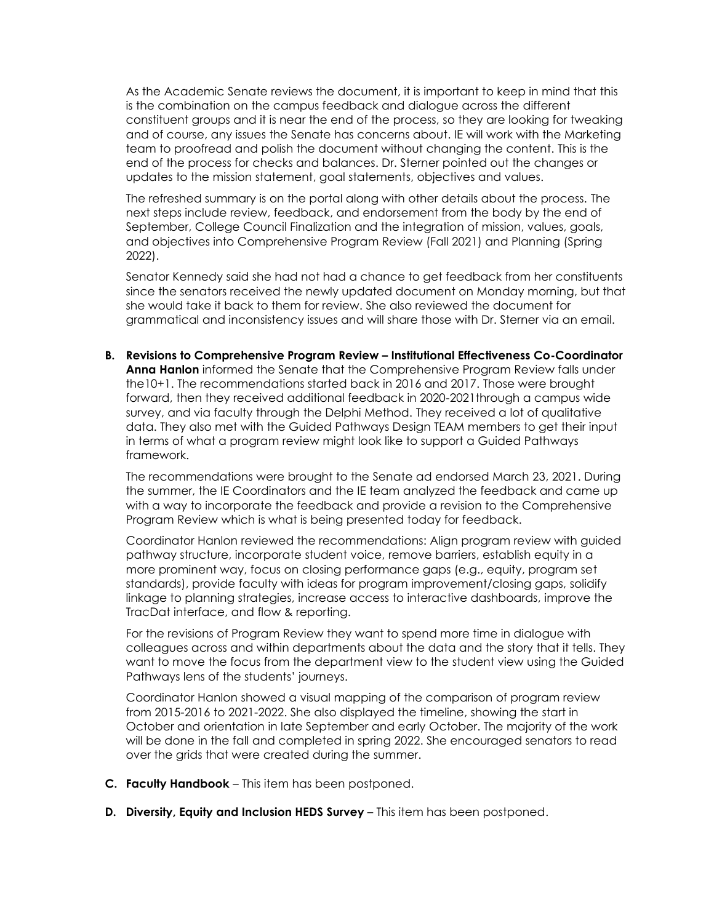As the Academic Senate reviews the document, it is important to keep in mind that this is the combination on the campus feedback and dialogue across the different constituent groups and it is near the end of the process, so they are looking for tweaking and of course, any issues the Senate has concerns about. IE will work with the Marketing team to proofread and polish the document without changing the content. This is the end of the process for checks and balances. Dr. Sterner pointed out the changes or updates to the mission statement, goal statements, objectives and values.

The refreshed summary is on the portal along with other details about the process. The next steps include review, feedback, and endorsement from the body by the end of September, College Council Finalization and the integration of mission, values, goals, and objectives into Comprehensive Program Review (Fall 2021) and Planning (Spring 2022).

Senator Kennedy said she had not had a chance to get feedback from her constituents since the senators received the newly updated document on Monday morning, but that she would take it back to them for review. She also reviewed the document for grammatical and inconsistency issues and will share those with Dr. Sterner via an email.

**B. Revisions to Comprehensive Program Review – Institutional Effectiveness Co-Coordinator Anna Hanlon** informed the Senate that the Comprehensive Program Review falls under the10+1. The recommendations started back in 2016 and 2017. Those were brought forward, then they received additional feedback in 2020-2021through a campus wide survey, and via faculty through the Delphi Method. They received a lot of qualitative data. They also met with the Guided Pathways Design TEAM members to get their input in terms of what a program review might look like to support a Guided Pathways framework.

The recommendations were brought to the Senate ad endorsed March 23, 2021. During the summer, the IE Coordinators and the IE team analyzed the feedback and came up with a way to incorporate the feedback and provide a revision to the Comprehensive Program Review which is what is being presented today for feedback.

Coordinator Hanlon reviewed the recommendations: Align program review with guided pathway structure, incorporate student voice, remove barriers, establish equity in a more prominent way, focus on closing performance gaps (e.g., equity, program set standards), provide faculty with ideas for program improvement/closing gaps, solidify linkage to planning strategies, increase access to interactive dashboards, improve the TracDat interface, and flow & reporting.

For the revisions of Program Review they want to spend more time in dialogue with colleagues across and within departments about the data and the story that it tells. They want to move the focus from the department view to the student view using the Guided Pathways lens of the students' journeys.

Coordinator Hanlon showed a visual mapping of the comparison of program review from 2015-2016 to 2021-2022. She also displayed the timeline, showing the start in October and orientation in late September and early October. The majority of the work will be done in the fall and completed in spring 2022. She encouraged senators to read over the grids that were created during the summer.

- **C. Faculty Handbook** This item has been postponed.
- **D. Diversity, Equity and Inclusion HEDS Survey** This item has been postponed.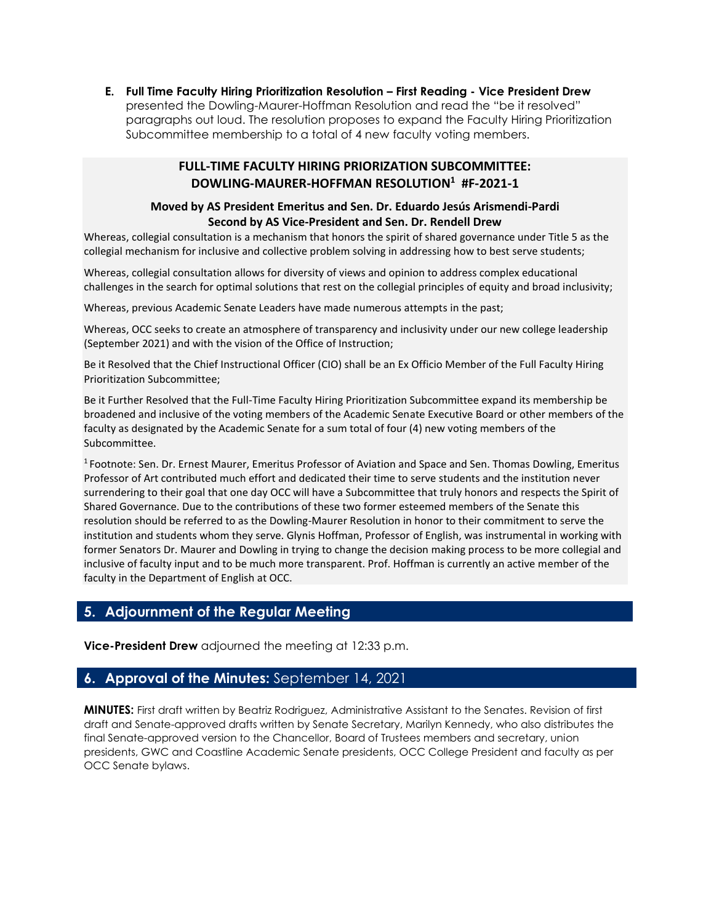**E. Full Time Faculty Hiring Prioritization Resolution – First Reading - Vice President Drew** presented the Dowling-Maurer-Hoffman Resolution and read the "be it resolved" paragraphs out loud. The resolution proposes to expand the Faculty Hiring Prioritization Subcommittee membership to a total of 4 new faculty voting members.

#### **FULL-TIME FACULTY HIRING PRIORIZATION SUBCOMMITTEE: DOWLING-MAURER-HOFFMAN RESOLUTION<sup>1</sup> #F-2021-1**

#### **Moved by AS President Emeritus and Sen. Dr. Eduardo Jesús Arismendi-Pardi Second by AS Vice-President and Sen. Dr. Rendell Drew**

Whereas, collegial consultation is a mechanism that honors the spirit of shared governance under Title 5 as the collegial mechanism for inclusive and collective problem solving in addressing how to best serve students;

Whereas, collegial consultation allows for diversity of views and opinion to address complex educational challenges in the search for optimal solutions that rest on the collegial principles of equity and broad inclusivity;

Whereas, previous Academic Senate Leaders have made numerous attempts in the past;

Whereas, OCC seeks to create an atmosphere of transparency and inclusivity under our new college leadership (September 2021) and with the vision of the Office of Instruction;

Be it Resolved that the Chief Instructional Officer (CIO) shall be an Ex Officio Member of the Full Faculty Hiring Prioritization Subcommittee;

Be it Further Resolved that the Full-Time Faculty Hiring Prioritization Subcommittee expand its membership be broadened and inclusive of the voting members of the Academic Senate Executive Board or other members of the faculty as designated by the Academic Senate for a sum total of four (4) new voting members of the Subcommittee.

<sup>1</sup>Footnote: Sen. Dr. Ernest Maurer, Emeritus Professor of Aviation and Space and Sen. Thomas Dowling, Emeritus Professor of Art contributed much effort and dedicated their time to serve students and the institution never surrendering to their goal that one day OCC will have a Subcommittee that truly honors and respects the Spirit of Shared Governance. Due to the contributions of these two former esteemed members of the Senate this resolution should be referred to as the Dowling-Maurer Resolution in honor to their commitment to serve the institution and students whom they serve. Glynis Hoffman, Professor of English, was instrumental in working with former Senators Dr. Maurer and Dowling in trying to change the decision making process to be more collegial and inclusive of faculty input and to be much more transparent. Prof. Hoffman is currently an active member of the faculty in the Department of English at OCC.

#### **5. Adjournment of the Regular Meeting**

**Vice-President Drew** adjourned the meeting at 12:33 p.m.

#### **6. Approval of the Minutes:** September 14, 2021

**MINUTES:** First draft written by Beatriz Rodriguez, Administrative Assistant to the Senates. Revision of first draft and Senate-approved drafts written by Senate Secretary, Marilyn Kennedy, who also distributes the final Senate-approved version to the Chancellor, Board of Trustees members and secretary, union presidents, GWC and Coastline Academic Senate presidents, OCC College President and faculty as per OCC Senate bylaws.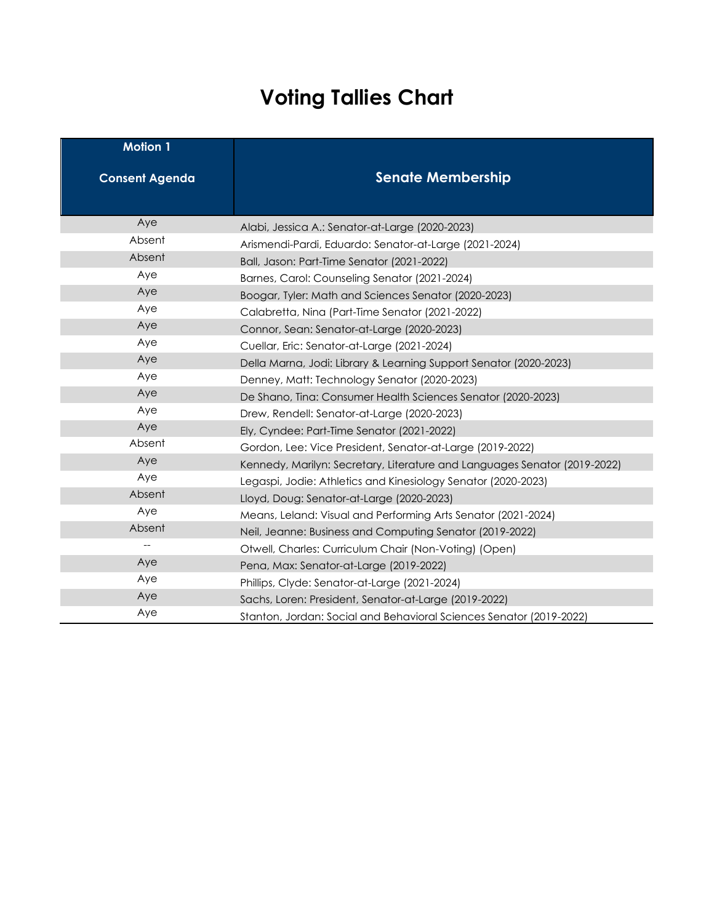# **Voting Tallies Chart**

| <b>Motion 1</b>       |                                                                           |  |
|-----------------------|---------------------------------------------------------------------------|--|
| <b>Consent Agenda</b> | <b>Senate Membership</b>                                                  |  |
| Aye                   | Alabi, Jessica A.: Senator-at-Large (2020-2023)                           |  |
| Absent                | Arismendi-Pardi, Eduardo: Senator-at-Large (2021-2024)                    |  |
| Absent                | Ball, Jason: Part-Time Senator (2021-2022)                                |  |
| Aye                   | Barnes, Carol: Counseling Senator (2021-2024)                             |  |
| Aye                   | Boogar, Tyler: Math and Sciences Senator (2020-2023)                      |  |
| Aye                   | Calabretta, Nina (Part-Time Senator (2021-2022)                           |  |
| Aye                   | Connor, Sean: Senator-at-Large (2020-2023)                                |  |
| Aye                   | Cuellar, Eric: Senator-at-Large (2021-2024)                               |  |
| Aye                   | Della Marna, Jodi: Library & Learning Support Senator (2020-2023)         |  |
| Aye                   | Denney, Matt: Technology Senator (2020-2023)                              |  |
| Aye                   | De Shano, Tina: Consumer Health Sciences Senator (2020-2023)              |  |
| Aye                   | Drew, Rendell: Senator-at-Large (2020-2023)                               |  |
| Aye                   | Ely, Cyndee: Part-Time Senator (2021-2022)                                |  |
| Absent                | Gordon, Lee: Vice President, Senator-at-Large (2019-2022)                 |  |
| Aye                   | Kennedy, Marilyn: Secretary, Literature and Languages Senator (2019-2022) |  |
| Aye                   | Legaspi, Jodie: Athletics and Kinesiology Senator (2020-2023)             |  |
| Absent                | Lloyd, Doug: Senator-at-Large (2020-2023)                                 |  |
| Aye                   | Means, Leland: Visual and Performing Arts Senator (2021-2024)             |  |
| Absent                | Neil, Jeanne: Business and Computing Senator (2019-2022)                  |  |
|                       | Otwell, Charles: Curriculum Chair (Non-Voting) (Open)                     |  |
| Aye                   | Pena, Max: Senator-at-Large (2019-2022)                                   |  |
| Aye                   | Phillips, Clyde: Senator-at-Large (2021-2024)                             |  |
| Aye                   | Sachs, Loren: President, Senator-at-Large (2019-2022)                     |  |
| Aye                   | Stanton, Jordan: Social and Behavioral Sciences Senator (2019-2022)       |  |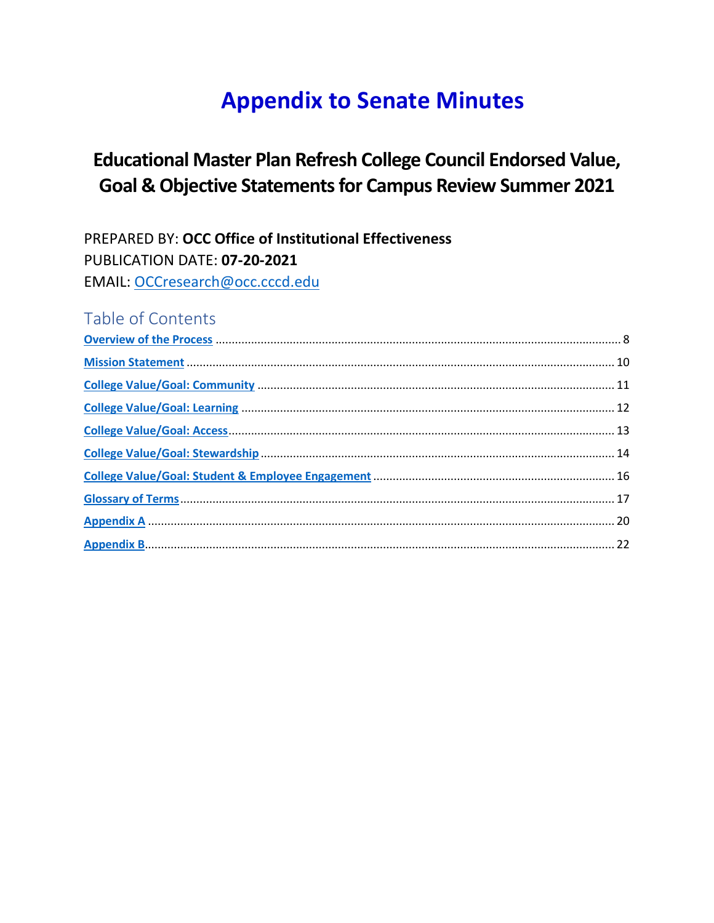# **Appendix to Senate Minutes**

### Educational Master Plan Refresh College Council Endorsed Value, Goal & Objective Statements for Campus Review Summer 2021

PREPARED BY: OCC Office of Institutional Effectiveness PUBLICATION DATE: 07-20-2021 EMAIL: OCCresearch@occ.cccd.edu

### Table of Contents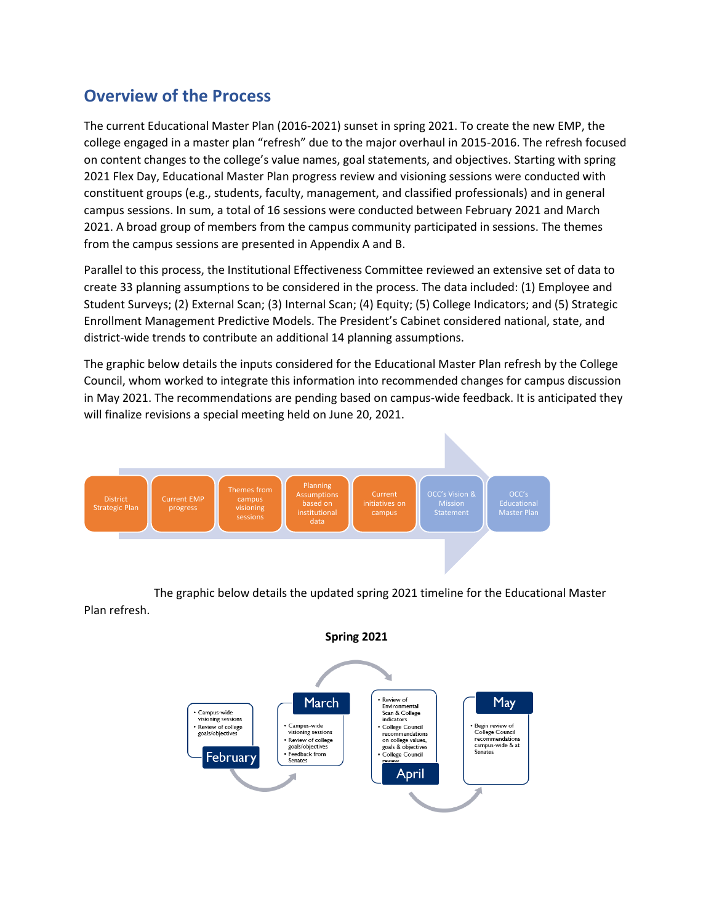### <span id="page-7-0"></span>**Overview of the Process**

The current Educational Master Plan (2016-2021) sunset in spring 2021. To create the new EMP, the college engaged in a master plan "refresh" due to the major overhaul in 2015-2016. The refresh focused on content changes to the college's value names, goal statements, and objectives. Starting with spring 2021 Flex Day, Educational Master Plan progress review and visioning sessions were conducted with constituent groups (e.g., students, faculty, management, and classified professionals) and in general campus sessions. In sum, a total of 16 sessions were conducted between February 2021 and March 2021. A broad group of members from the campus community participated in sessions. The themes from the campus sessions are presented in Appendix A and B.

Parallel to this process, the Institutional Effectiveness Committee reviewed an extensive set of data to create 33 planning assumptions to be considered in the process. The data included: (1) Employee and Student Surveys; (2) External Scan; (3) Internal Scan; (4) Equity; (5) College Indicators; and (5) Strategic Enrollment Management Predictive Models. The President's Cabinet considered national, state, and district-wide trends to contribute an additional 14 planning assumptions.

The graphic below details the inputs considered for the Educational Master Plan refresh by the College Council, whom worked to integrate this information into recommended changes for campus discussion in May 2021. The recommendations are pending based on campus-wide feedback. It is anticipated they will finalize revisions a special meeting held on June 20, 2021.



The graphic below details the updated spring 2021 timeline for the Educational Master Plan refresh.

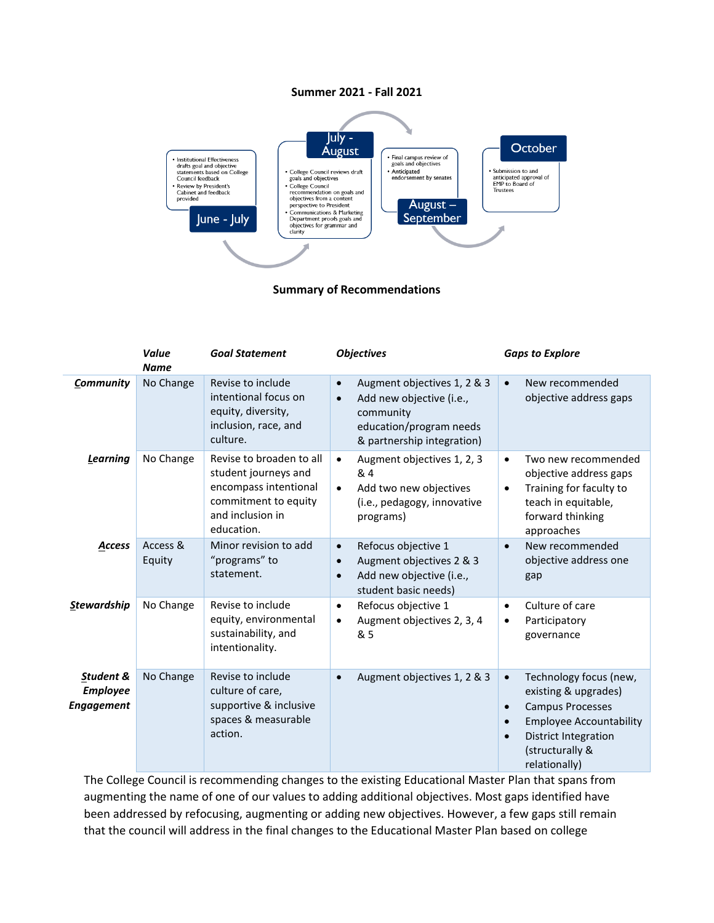#### **Summer 2021 - Fall 2021**



#### **Summary of Recommendations**

|                                                   | Value<br><b>Name</b> | <b>Goal Statement</b>                                                                                                               | <b>Objectives</b>                                                                                                                                       | <b>Gaps to Explore</b>                                                                                                                                                                                                             |
|---------------------------------------------------|----------------------|-------------------------------------------------------------------------------------------------------------------------------------|---------------------------------------------------------------------------------------------------------------------------------------------------------|------------------------------------------------------------------------------------------------------------------------------------------------------------------------------------------------------------------------------------|
| <b>Community</b>                                  | No Change            | Revise to include<br>intentional focus on<br>equity, diversity,<br>inclusion, race, and<br>culture.                                 | Augment objectives 1, 2 & 3<br>$\bullet$<br>Add new objective (i.e.,<br>$\bullet$<br>community<br>education/program needs<br>& partnership integration) | New recommended<br>$\bullet$<br>objective address gaps                                                                                                                                                                             |
| <b>Learning</b>                                   | No Change            | Revise to broaden to all<br>student journeys and<br>encompass intentional<br>commitment to equity<br>and inclusion in<br>education. | Augment objectives 1, 2, 3<br>$\bullet$<br>& 4<br>Add two new objectives<br>$\bullet$<br>(i.e., pedagogy, innovative<br>programs)                       | Two new recommended<br>$\bullet$<br>objective address gaps<br>Training for faculty to<br>$\bullet$<br>teach in equitable,<br>forward thinking<br>approaches                                                                        |
| Access                                            | Access &<br>Equity   | Minor revision to add<br>"programs" to<br>statement.                                                                                | Refocus objective 1<br>$\bullet$<br>Augment objectives 2 & 3<br>$\bullet$<br>Add new objective (i.e.,<br>$\bullet$<br>student basic needs)              | New recommended<br>$\bullet$<br>objective address one<br>gap                                                                                                                                                                       |
| <b>Stewardship</b>                                | No Change            | Revise to include<br>equity, environmental<br>sustainability, and<br>intentionality.                                                | Refocus objective 1<br>$\bullet$<br>Augment objectives 2, 3, 4<br>$\bullet$<br>& 5                                                                      | Culture of care<br>$\bullet$<br>Participatory<br>٠<br>governance                                                                                                                                                                   |
| Student &<br><b>Employee</b><br><b>Engagement</b> | No Change            | Revise to include<br>culture of care,<br>supportive & inclusive<br>spaces & measurable<br>action.                                   | Augment objectives 1, 2 & 3<br>$\bullet$                                                                                                                | Technology focus (new,<br>$\bullet$<br>existing & upgrades)<br><b>Campus Processes</b><br>$\bullet$<br><b>Employee Accountability</b><br>$\bullet$<br><b>District Integration</b><br>$\bullet$<br>(structurally &<br>relationally) |

The College Council is recommending changes to the existing Educational Master Plan that spans from augmenting the name of one of our values to adding additional objectives. Most gaps identified have been addressed by refocusing, augmenting or adding new objectives. However, a few gaps still remain that the council will address in the final changes to the Educational Master Plan based on college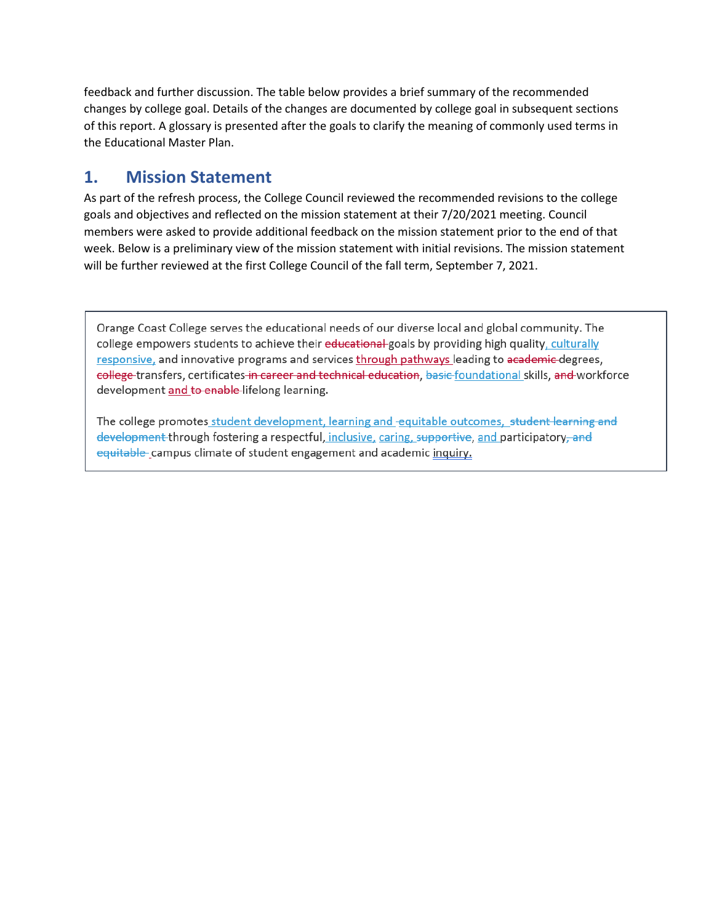feedback and further discussion. The table below provides a brief summary of the recommended changes by college goal. Details of the changes are documented by college goal in subsequent sections of this report. A glossary is presented after the goals to clarify the meaning of commonly used terms in the Educational Master Plan.

### <span id="page-9-0"></span>**1. Mission Statement**

As part of the refresh process, the College Council reviewed the recommended revisions to the college goals and objectives and reflected on the mission statement at their 7/20/2021 meeting. Council members were asked to provide additional feedback on the mission statement prior to the end of that week. Below is a preliminary view of the mission statement with initial revisions. The mission statement will be further reviewed at the first College Council of the fall term, September 7, 2021.

Orange Coast College serves the educational needs of our diverse local and global community. The college empowers students to achieve their educational goals by providing high quality, culturally responsive, and innovative programs and services through pathways leading to academic degrees, college transfers, certificates-in career and technical education, basic-foundational skills, and workforce development and to enable-lifelong learning.

The college promotes student development, learning and equitable outcomes, student learning and development through fostering a respectful, inclusive, caring, supportive, and participatory, and equitable campus climate of student engagement and academic inquiry.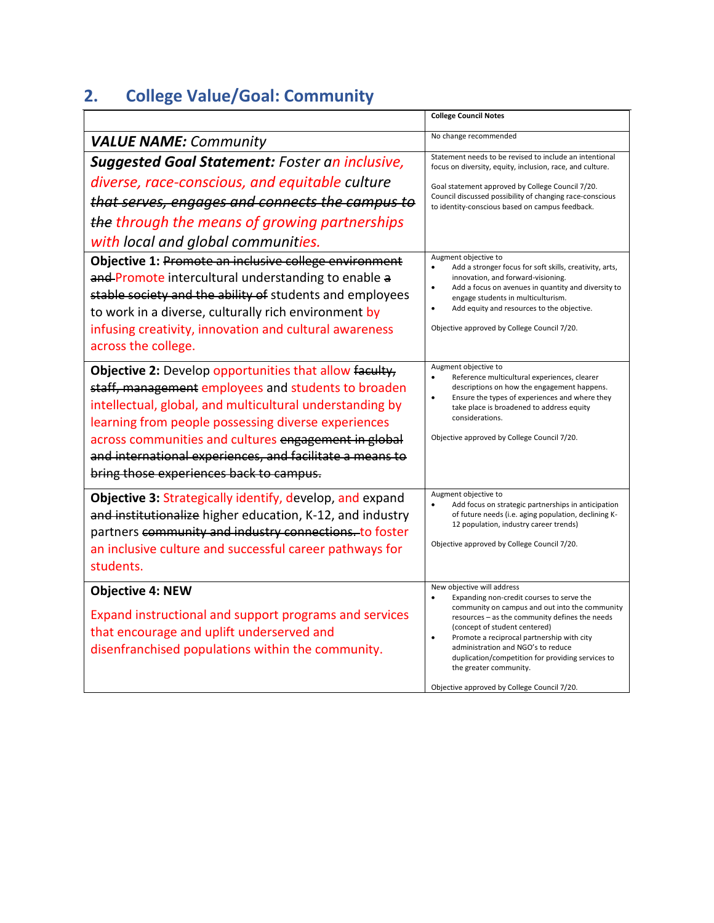# <span id="page-10-0"></span>**2. College Value/Goal: Community**

|                                                                                                                                                                                                                                                                                                                                                                                                 | <b>College Council Notes</b>                                                                                                                                                                                                                                                                                                                                                                                                                             |  |
|-------------------------------------------------------------------------------------------------------------------------------------------------------------------------------------------------------------------------------------------------------------------------------------------------------------------------------------------------------------------------------------------------|----------------------------------------------------------------------------------------------------------------------------------------------------------------------------------------------------------------------------------------------------------------------------------------------------------------------------------------------------------------------------------------------------------------------------------------------------------|--|
| <b>VALUE NAME: Community</b>                                                                                                                                                                                                                                                                                                                                                                    | No change recommended                                                                                                                                                                                                                                                                                                                                                                                                                                    |  |
| <b>Suggested Goal Statement: Foster an inclusive,</b>                                                                                                                                                                                                                                                                                                                                           | Statement needs to be revised to include an intentional<br>focus on diversity, equity, inclusion, race, and culture.                                                                                                                                                                                                                                                                                                                                     |  |
| diverse, race-conscious, and equitable culture                                                                                                                                                                                                                                                                                                                                                  | Goal statement approved by College Council 7/20.                                                                                                                                                                                                                                                                                                                                                                                                         |  |
| that serves, engages and connects the campus to                                                                                                                                                                                                                                                                                                                                                 | Council discussed possibility of changing race-conscious<br>to identity-conscious based on campus feedback.                                                                                                                                                                                                                                                                                                                                              |  |
| the through the means of growing partnerships                                                                                                                                                                                                                                                                                                                                                   |                                                                                                                                                                                                                                                                                                                                                                                                                                                          |  |
| with local and global communities.                                                                                                                                                                                                                                                                                                                                                              |                                                                                                                                                                                                                                                                                                                                                                                                                                                          |  |
| Objective 1: Promote an inclusive college environment<br>and Promote intercultural understanding to enable a<br>stable society and the ability of students and employees<br>to work in a diverse, culturally rich environment by<br>infusing creativity, innovation and cultural awareness<br>across the college.                                                                               | Augment objective to<br>Add a stronger focus for soft skills, creativity, arts,<br>innovation, and forward-visioning.<br>Add a focus on avenues in quantity and diversity to<br>$\bullet$<br>engage students in multiculturism.<br>Add equity and resources to the objective.<br>$\bullet$<br>Objective approved by College Council 7/20.                                                                                                                |  |
| Objective 2: Develop opportunities that allow faculty,<br>staff, management employees and students to broaden<br>intellectual, global, and multicultural understanding by<br>learning from people possessing diverse experiences<br>across communities and cultures engagement in global<br>and international experiences, and facilitate a means to<br>bring those experiences back to campus. | Augment objective to<br>Reference multicultural experiences, clearer<br>descriptions on how the engagement happens.<br>Ensure the types of experiences and where they<br>take place is broadened to address equity<br>considerations.<br>Objective approved by College Council 7/20.                                                                                                                                                                     |  |
| Objective 3: Strategically identify, develop, and expand<br>and institutionalize higher education, K-12, and industry<br>partners community and industry connections. to foster<br>an inclusive culture and successful career pathways for<br>students.                                                                                                                                         | Augment objective to<br>Add focus on strategic partnerships in anticipation<br>of future needs (i.e. aging population, declining K-<br>12 population, industry career trends)<br>Objective approved by College Council 7/20.                                                                                                                                                                                                                             |  |
| <b>Objective 4: NEW</b><br>Expand instructional and support programs and services<br>that encourage and uplift underserved and<br>disenfranchised populations within the community.                                                                                                                                                                                                             | New objective will address<br>$\bullet$<br>Expanding non-credit courses to serve the<br>community on campus and out into the community<br>resources - as the community defines the needs<br>(concept of student centered)<br>Promote a reciprocal partnership with city<br>$\bullet$<br>administration and NGO's to reduce<br>duplication/competition for providing services to<br>the greater community.<br>Objective approved by College Council 7/20. |  |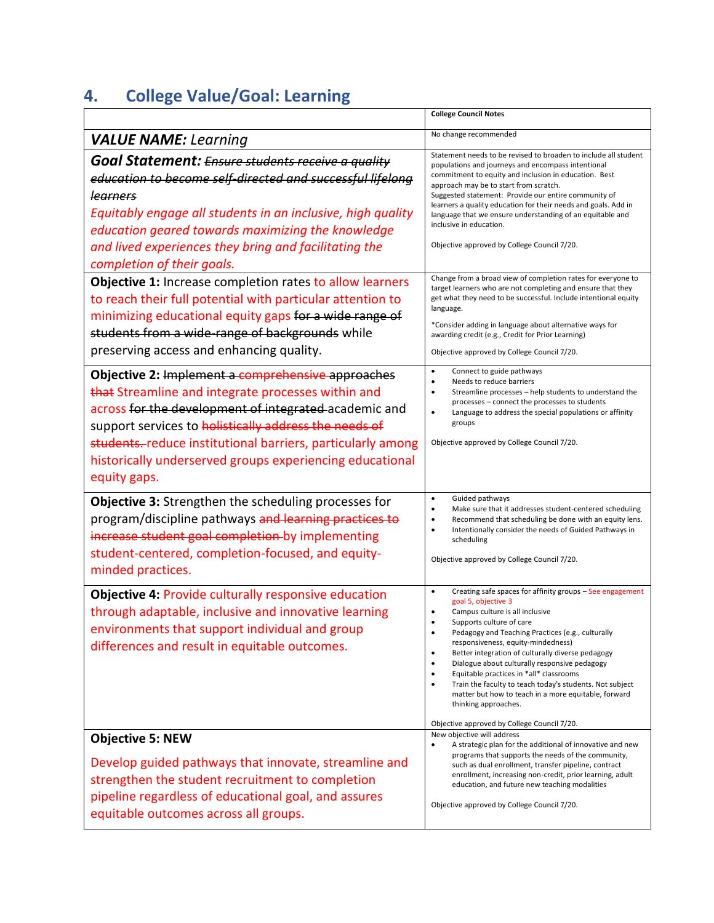# <span id="page-11-0"></span>**4. College Value/Goal: Learning**

|                                                                                                                                                                                                                                                                                                                                                                      | <b>College Council Notes</b>                                                                                                                                                                                                                                                                                                                                                                                                                                                                                                                                                                                                       |  |
|----------------------------------------------------------------------------------------------------------------------------------------------------------------------------------------------------------------------------------------------------------------------------------------------------------------------------------------------------------------------|------------------------------------------------------------------------------------------------------------------------------------------------------------------------------------------------------------------------------------------------------------------------------------------------------------------------------------------------------------------------------------------------------------------------------------------------------------------------------------------------------------------------------------------------------------------------------------------------------------------------------------|--|
| <b>VALUE NAME: Learning</b>                                                                                                                                                                                                                                                                                                                                          | No change recommended                                                                                                                                                                                                                                                                                                                                                                                                                                                                                                                                                                                                              |  |
| <b>Goal Statement:</b> Ensure students receive a quality<br>education to become self-directed and successful lifelong<br><i>learners</i><br>Equitably engage all students in an inclusive, high quality<br>education geared towards maximizing the knowledge<br>and lived experiences they bring and facilitating the<br>completion of their goals.                  | Statement needs to be revised to broaden to include all student<br>populations and journeys and encompass intentional<br>commitment to equity and inclusion in education. Best<br>approach may be to start from scratch.<br>Suggested statement: Provide our entire community of<br>learners a quality education for their needs and goals. Add in<br>language that we ensure understanding of an equitable and<br>inclusive in education.<br>Objective approved by College Council 7/20.                                                                                                                                          |  |
| Objective 1: Increase completion rates to allow learners<br>to reach their full potential with particular attention to<br>minimizing educational equity gaps for a wide range of<br>students from a wide-range of backgrounds while<br>preserving access and enhancing quality.                                                                                      | Change from a broad view of completion rates for everyone to<br>target learners who are not completing and ensure that they<br>get what they need to be successful. Include intentional equity<br>language.<br>*Consider adding in language about alternative ways for<br>awarding credit (e.g., Credit for Prior Learning)<br>Objective approved by College Council 7/20.                                                                                                                                                                                                                                                         |  |
| Objective 2: Implement a comprehensive approaches<br>that Streamline and integrate processes within and<br>across for the development of integrated academic and<br>support services to holistically address the needs of<br>students. reduce institutional barriers, particularly among<br>historically underserved groups experiencing educational<br>equity gaps. | Connect to guide pathways<br>$\bullet$<br>Needs to reduce barriers<br>$\bullet$<br>Streamline processes - help students to understand the<br>$\bullet$<br>processes - connect the processes to students<br>$\bullet$<br>Language to address the special populations or affinity<br>groups<br>Objective approved by College Council 7/20.                                                                                                                                                                                                                                                                                           |  |
| Objective 3: Strengthen the scheduling processes for<br>program/discipline pathways and learning practices to<br>increase student goal completion-by implementing<br>student-centered, completion-focused, and equity-<br>minded practices.                                                                                                                          | Guided pathways<br>$\bullet$<br>$\bullet$<br>Make sure that it addresses student-centered scheduling<br>Recommend that scheduling be done with an equity lens.<br>$\bullet$<br>Intentionally consider the needs of Guided Pathways in<br>$\bullet$<br>scheduling<br>Objective approved by College Council 7/20.                                                                                                                                                                                                                                                                                                                    |  |
| <b>Objective 4: Provide culturally responsive education</b><br>through adaptable, inclusive and innovative learning<br>environments that support individual and group<br>differences and result in equitable outcomes.                                                                                                                                               | Creating safe spaces for affinity groups - See engagement<br>$\bullet$<br>goal 5, objective 3<br>Campus culture is all inclusive<br>$\bullet$<br>Supports culture of care<br>$\bullet$<br>Pedagogy and Teaching Practices (e.g., culturally<br>responsiveness, equity-mindedness)<br>Better integration of culturally diverse pedagogy<br>$\bullet$<br>Dialogue about culturally responsive pedagogy<br>$\bullet$<br>Equitable practices in *all* classrooms<br>$\bullet$<br>$\bullet$<br>Train the faculty to teach today's students. Not subject<br>matter but how to teach in a more equitable, forward<br>thinking approaches. |  |
| <b>Objective 5: NEW</b><br>Develop guided pathways that innovate, streamline and<br>strengthen the student recruitment to completion<br>pipeline regardless of educational goal, and assures<br>equitable outcomes across all groups.                                                                                                                                | Objective approved by College Council 7/20.<br>New objective will address<br>A strategic plan for the additional of innovative and new<br>$\bullet$<br>programs that supports the needs of the community,<br>such as dual enrollment, transfer pipeline, contract<br>enrollment, increasing non-credit, prior learning, adult<br>education, and future new teaching modalities<br>Objective approved by College Council 7/20.                                                                                                                                                                                                      |  |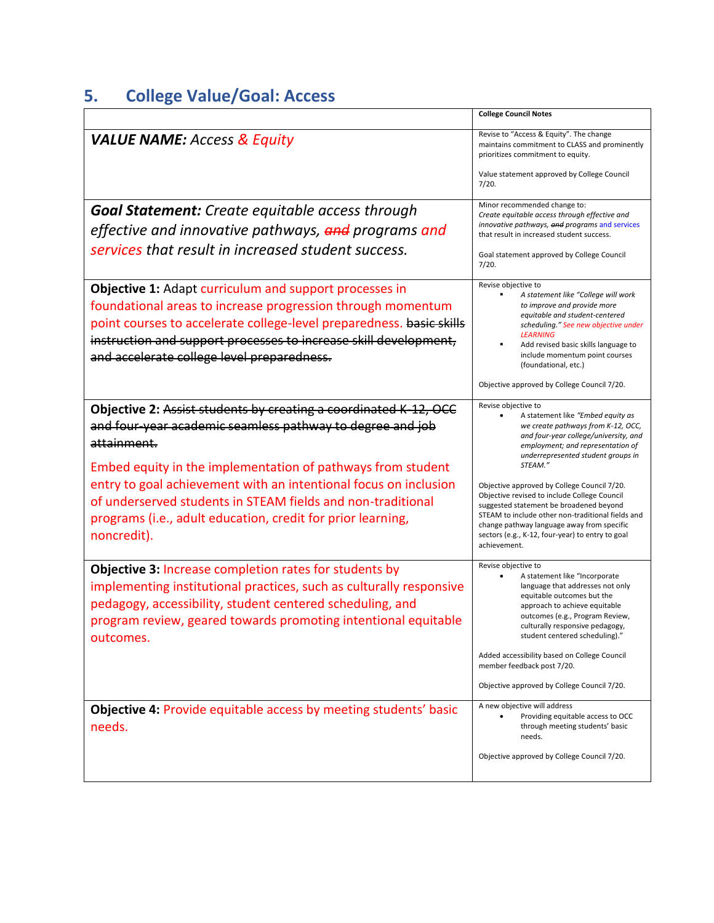# <span id="page-12-0"></span>**5. College Value/Goal: Access**

|                                                                                                                                                                                                                                                                                                                                                                                                                              | <b>College Council Notes</b>                                                                                                                                                                                                                                                                                                                                                                                                                                                                                                                   |
|------------------------------------------------------------------------------------------------------------------------------------------------------------------------------------------------------------------------------------------------------------------------------------------------------------------------------------------------------------------------------------------------------------------------------|------------------------------------------------------------------------------------------------------------------------------------------------------------------------------------------------------------------------------------------------------------------------------------------------------------------------------------------------------------------------------------------------------------------------------------------------------------------------------------------------------------------------------------------------|
| <b>VALUE NAME:</b> Access & Equity                                                                                                                                                                                                                                                                                                                                                                                           | Revise to "Access & Equity". The change<br>maintains commitment to CLASS and prominently<br>prioritizes commitment to equity.                                                                                                                                                                                                                                                                                                                                                                                                                  |
|                                                                                                                                                                                                                                                                                                                                                                                                                              | Value statement approved by College Council<br>7/20.                                                                                                                                                                                                                                                                                                                                                                                                                                                                                           |
| <b>Goal Statement:</b> Create equitable access through<br>effective and innovative pathways, and programs and<br>services that result in increased student success.                                                                                                                                                                                                                                                          | Minor recommended change to:<br>Create equitable access through effective and<br>innovative pathways, and programs and services<br>that result in increased student success.<br>Goal statement approved by College Council<br>7/20.                                                                                                                                                                                                                                                                                                            |
| Objective 1: Adapt curriculum and support processes in<br>foundational areas to increase progression through momentum<br>point courses to accelerate college-level preparedness. basic skills<br>instruction and support processes to increase skill development,<br>and accelerate college level preparedness.                                                                                                              | Revise objective to<br>A statement like "College will work<br>to improve and provide more<br>equitable and student-centered<br>scheduling." See new objective under<br><b>LEARNING</b><br>Add revised basic skills language to<br>include momentum point courses<br>(foundational, etc.)<br>Objective approved by College Council 7/20.                                                                                                                                                                                                        |
| Objective 2: Assist students by creating a coordinated K-12, OCC<br>and four-year academic seamless pathway to degree and job<br>attainment.<br>Embed equity in the implementation of pathways from student<br>entry to goal achievement with an intentional focus on inclusion<br>of underserved students in STEAM fields and non-traditional<br>programs (i.e., adult education, credit for prior learning,<br>noncredit). | Revise objective to<br>A statement like "Embed equity as<br>we create pathways from K-12, OCC,<br>and four-year college/university, and<br>employment; and representation of<br>underrepresented student groups in<br>STEAM."<br>Objective approved by College Council 7/20.<br>Objective revised to include College Council<br>suggested statement be broadened beyond<br>STEAM to include other non-traditional fields and<br>change pathway language away from specific<br>sectors (e.g., K-12, four-year) to entry to goal<br>achievement. |
| Objective 3: Increase completion rates for students by<br>implementing institutional practices, such as culturally responsive<br>pedagogy, accessibility, student centered scheduling, and<br>program review, geared towards promoting intentional equitable<br>outcomes.                                                                                                                                                    | Revise objective to<br>A statement like "Incorporate<br>language that addresses not only<br>equitable outcomes but the<br>approach to achieve equitable<br>outcomes (e.g., Program Review,<br>culturally responsive pedagogy,<br>student centered scheduling)."<br>Added accessibility based on College Council<br>member feedback post 7/20.<br>Objective approved by College Council 7/20.                                                                                                                                                   |
| Objective 4: Provide equitable access by meeting students' basic<br>needs.                                                                                                                                                                                                                                                                                                                                                   | A new objective will address<br>Providing equitable access to OCC<br>through meeting students' basic<br>needs.<br>Objective approved by College Council 7/20.                                                                                                                                                                                                                                                                                                                                                                                  |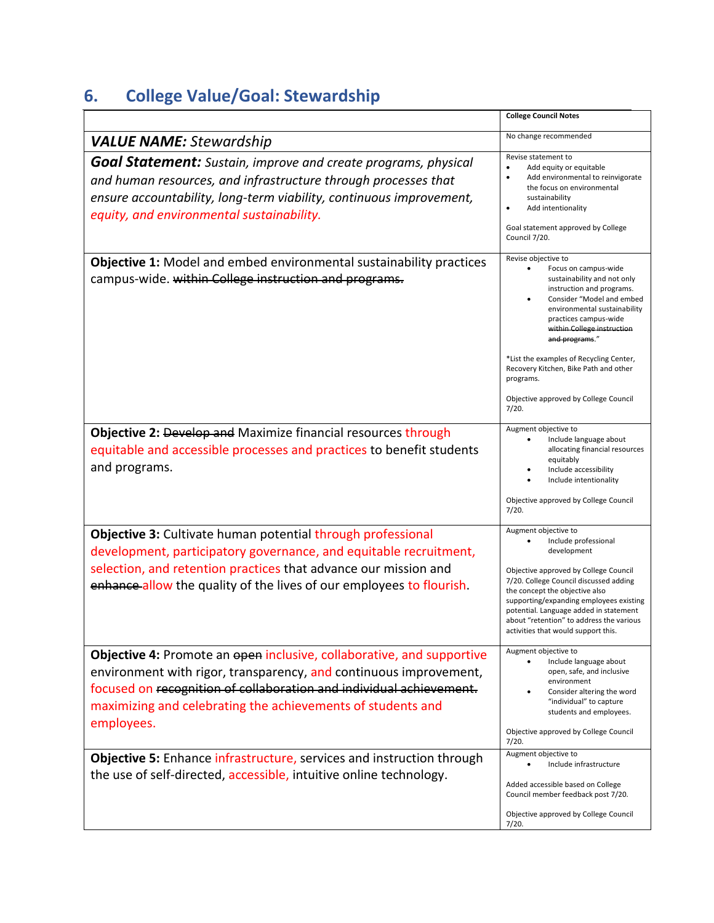# <span id="page-13-0"></span>**6. College Value/Goal: Stewardship**

|                                                                                                                                                                                                                                                                                                       | <b>College Council Notes</b>                                                                                                                                                                                                                                                                                                                                                                     |
|-------------------------------------------------------------------------------------------------------------------------------------------------------------------------------------------------------------------------------------------------------------------------------------------------------|--------------------------------------------------------------------------------------------------------------------------------------------------------------------------------------------------------------------------------------------------------------------------------------------------------------------------------------------------------------------------------------------------|
| <b>VALUE NAME:</b> Stewardship                                                                                                                                                                                                                                                                        | No change recommended                                                                                                                                                                                                                                                                                                                                                                            |
| <b>Goal Statement:</b> Sustain, improve and create programs, physical<br>and human resources, and infrastructure through processes that<br>ensure accountability, long-term viability, continuous improvement,<br>equity, and environmental sustainability.                                           | Revise statement to<br>$\bullet$<br>Add equity or equitable<br>Add environmental to reinvigorate<br>$\bullet$<br>the focus on environmental<br>sustainability<br>Add intentionality<br>$\bullet$<br>Goal statement approved by College<br>Council 7/20.                                                                                                                                          |
| Objective 1: Model and embed environmental sustainability practices<br>campus-wide. within College instruction and programs.                                                                                                                                                                          | Revise objective to<br>Focus on campus-wide<br>sustainability and not only<br>instruction and programs.<br>Consider "Model and embed<br>environmental sustainability<br>practices campus-wide<br>within College instruction<br>and programs."<br>*List the examples of Recycling Center,<br>Recovery Kitchen, Bike Path and other<br>programs.<br>Objective approved by College Council<br>7/20. |
| Objective 2: Develop and Maximize financial resources through<br>equitable and accessible processes and practices to benefit students<br>and programs.                                                                                                                                                | Augment objective to<br>Include language about<br>allocating financial resources<br>equitably<br>Include accessibility<br>Include intentionality<br>Objective approved by College Council<br>7/20.                                                                                                                                                                                               |
| Objective 3: Cultivate human potential through professional<br>development, participatory governance, and equitable recruitment,<br>selection, and retention practices that advance our mission and<br>enhance allow the quality of the lives of our employees to flourish.                           | Augment objective to<br>Include professional<br>$\bullet$<br>development<br>Objective approved by College Council<br>7/20. College Council discussed adding<br>the concept the objective also<br>supporting/expanding employees existing<br>potential. Language added in statement<br>about "retention" to address the various<br>activities that would support this.                            |
| <b>Objective 4:</b> Promote an open inclusive, collaborative, and supportive<br>environment with rigor, transparency, and continuous improvement,<br>focused on recognition of collaboration and individual achievement.<br>maximizing and celebrating the achievements of students and<br>employees. | Augment objective to<br>Include language about<br>open, safe, and inclusive<br>environment<br>Consider altering the word<br>"individual" to capture<br>students and employees.<br>Objective approved by College Council<br>7/20.                                                                                                                                                                 |
| <b>Objective 5:</b> Enhance infrastructure, services and instruction through<br>the use of self-directed, accessible, intuitive online technology.                                                                                                                                                    | Augment objective to<br>Include infrastructure<br>Added accessible based on College<br>Council member feedback post 7/20.<br>Objective approved by College Council<br>7/20.                                                                                                                                                                                                                      |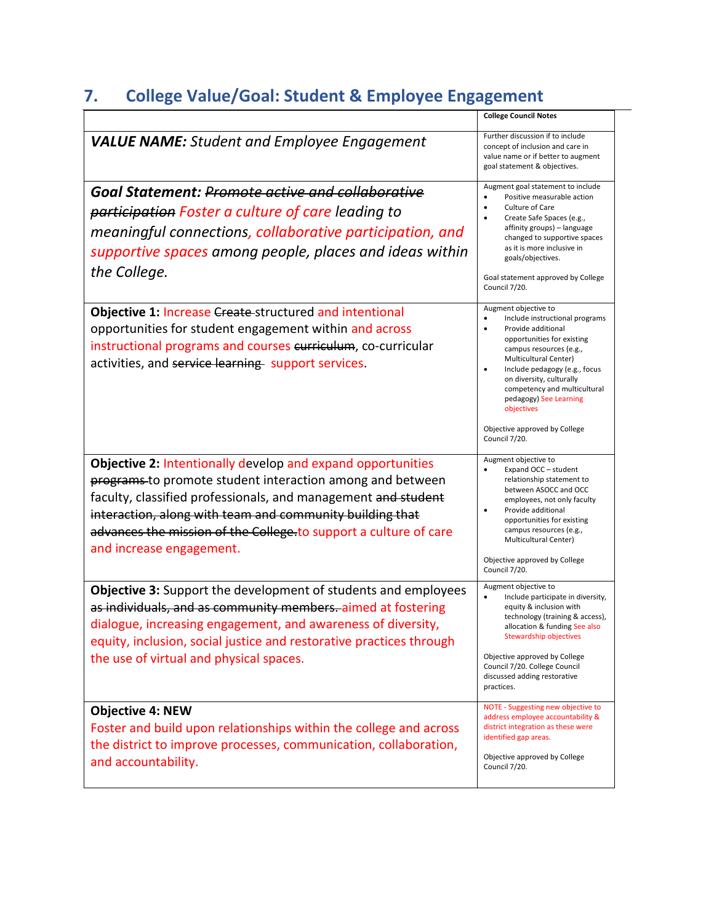# <span id="page-15-0"></span>**7. College Value/Goal: Student & Employee Engagement**

|                                                                                                                                                                                                                                                                                                                                                       | <b>College Council Notes</b>                                                                                                                                                                                                                                                                                                                                   |
|-------------------------------------------------------------------------------------------------------------------------------------------------------------------------------------------------------------------------------------------------------------------------------------------------------------------------------------------------------|----------------------------------------------------------------------------------------------------------------------------------------------------------------------------------------------------------------------------------------------------------------------------------------------------------------------------------------------------------------|
| <b>VALUE NAME:</b> Student and Employee Engagement                                                                                                                                                                                                                                                                                                    | Further discussion if to include<br>concept of inclusion and care in<br>value name or if better to augment<br>goal statement & objectives.                                                                                                                                                                                                                     |
| <b>Goal Statement: Promote active and collaborative</b><br>participation Foster a culture of care leading to<br>meaningful connections, collaborative participation, and<br>supportive spaces among people, places and ideas within<br>the College.                                                                                                   | Augment goal statement to include<br>Positive measurable action<br>Culture of Care<br>Create Safe Spaces (e.g.,<br>affinity groups) - language<br>changed to supportive spaces<br>as it is more inclusive in<br>goals/objectives.<br>Goal statement approved by College<br>Council 7/20.                                                                       |
| Objective 1: Increase Create-structured and intentional<br>opportunities for student engagement within and across<br>instructional programs and courses curriculum, co-curricular<br>activities, and service learning support services.                                                                                                               | Augment objective to<br>Include instructional programs<br>$\bullet$<br>Provide additional<br>opportunities for existing<br>campus resources (e.g.,<br>Multicultural Center)<br>$\bullet$<br>Include pedagogy (e.g., focus<br>on diversity, culturally<br>competency and multicultural<br>pedagogy) See Learning<br>objectives<br>Objective approved by College |
| Objective 2: Intentionally develop and expand opportunities<br>programs-to promote student interaction among and between<br>faculty, classified professionals, and management and student<br>interaction, along with team and community building that<br>advances the mission of the College to support a culture of care<br>and increase engagement. | Council 7/20.<br>Augment objective to<br>Expand OCC - student<br>relationship statement to<br>between ASOCC and OCC<br>employees, not only faculty<br>Provide additional<br>$\bullet$<br>opportunities for existing<br>campus resources (e.g.,<br>Multicultural Center)<br>Objective approved by College<br>Council 7/20.                                      |
| <b>Objective 3:</b> Support the development of students and employees<br>as individuals, and as community members. aimed at fostering<br>dialogue, increasing engagement, and awareness of diversity,<br>equity, inclusion, social justice and restorative practices through<br>the use of virtual and physical spaces.                               | Augment objective to<br>Include participate in diversity,<br>equity & inclusion with<br>technology (training & access),<br>allocation & funding See also<br>Stewardship objectives<br>Objective approved by College<br>Council 7/20. College Council<br>discussed adding restorative<br>practices.                                                             |
| <b>Objective 4: NEW</b><br>Foster and build upon relationships within the college and across<br>the district to improve processes, communication, collaboration,<br>and accountability.                                                                                                                                                               | NOTE - Suggesting new objective to<br>address employee accountability &<br>district integration as these were<br>identified gap areas.<br>Objective approved by College<br>Council 7/20.                                                                                                                                                                       |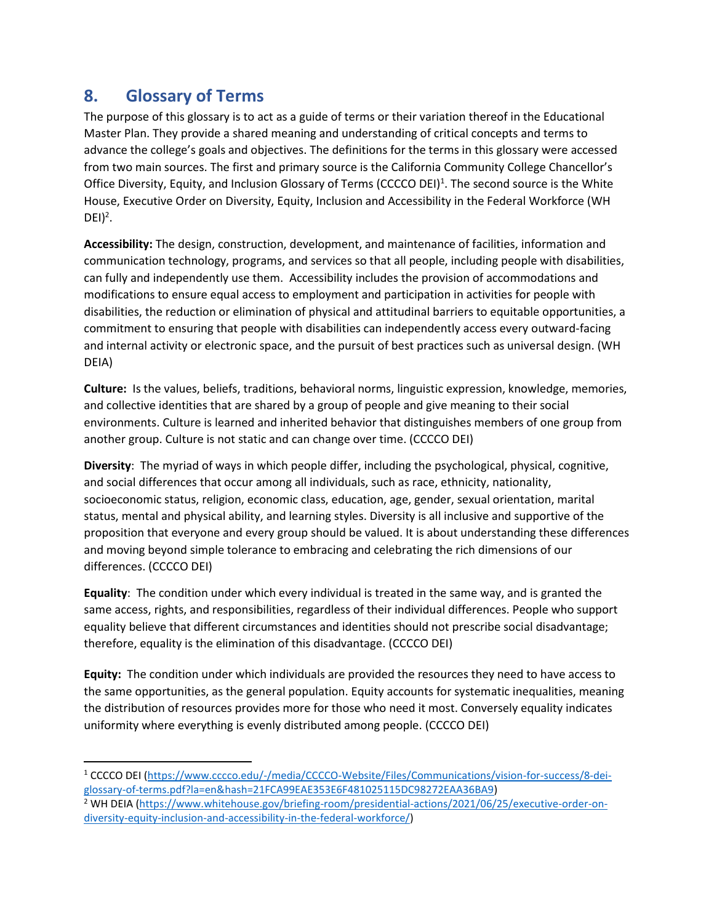### <span id="page-16-0"></span>**8. Glossary of Terms**

The purpose of this glossary is to act as a guide of terms or their variation thereof in the Educational Master Plan. They provide a shared meaning and understanding of critical concepts and terms to advance the college's goals and objectives. The definitions for the terms in this glossary were accessed from two main sources. The first and primary source is the California Community College Chancellor's Office Diversity, Equity, and Inclusion Glossary of Terms (CCCCO DEI)<sup>1</sup>. The second source is the White House, Executive Order on Diversity, Equity, Inclusion and Accessibility in the Federal Workforce (WH DEI) $^2$ .

**Accessibility:** The design, construction, development, and maintenance of facilities, information and communication technology, programs, and services so that all people, including people with disabilities, can fully and independently use them. Accessibility includes the provision of accommodations and modifications to ensure equal access to employment and participation in activities for people with disabilities, the reduction or elimination of physical and attitudinal barriers to equitable opportunities, a commitment to ensuring that people with disabilities can independently access every outward-facing and internal activity or electronic space, and the pursuit of best practices such as universal design. (WH DEIA)

**Culture:** Is the values, beliefs, traditions, behavioral norms, linguistic expression, knowledge, memories, and collective identities that are shared by a group of people and give meaning to their social environments. Culture is learned and inherited behavior that distinguishes members of one group from another group. Culture is not static and can change over time. (CCCCO DEI)

**Diversity**: The myriad of ways in which people differ, including the psychological, physical, cognitive, and social differences that occur among all individuals, such as race, ethnicity, nationality, socioeconomic status, religion, economic class, education, age, gender, sexual orientation, marital status, mental and physical ability, and learning styles. Diversity is all inclusive and supportive of the proposition that everyone and every group should be valued. It is about understanding these differences and moving beyond simple tolerance to embracing and celebrating the rich dimensions of our differences. (CCCCO DEI)

**Equality**: The condition under which every individual is treated in the same way, and is granted the same access, rights, and responsibilities, regardless of their individual differences. People who support equality believe that different circumstances and identities should not prescribe social disadvantage; therefore, equality is the elimination of this disadvantage. (CCCCO DEI)

**Equity:** The condition under which individuals are provided the resources they need to have access to the same opportunities, as the general population. Equity accounts for systematic inequalities, meaning the distribution of resources provides more for those who need it most. Conversely equality indicates uniformity where everything is evenly distributed among people. (CCCCO DEI)

- <sup>1</sup> CCCCO DEI [\(https://www.cccco.edu/-/media/CCCCO-Website/Files/Communications/vision-for-success/8-dei](https://www.cccco.edu/-/media/CCCCO-Website/Files/Communications/vision-for-success/8-dei-glossary-of-terms.pdf?la=en&hash=21FCA99EAE353E6F481025115DC98272EAA36BA9)[glossary-of-terms.pdf?la=en&hash=21FCA99EAE353E6F481025115DC98272EAA36BA9\)](https://www.cccco.edu/-/media/CCCCO-Website/Files/Communications/vision-for-success/8-dei-glossary-of-terms.pdf?la=en&hash=21FCA99EAE353E6F481025115DC98272EAA36BA9)
- <sup>2</sup> WH DEIA [\(https://www.whitehouse.gov/briefing-room/presidential-actions/2021/06/25/executive-order-on](https://www.whitehouse.gov/briefing-room/presidential-actions/2021/06/25/executive-order-on-diversity-equity-inclusion-and-accessibility-in-the-federal-workforce/)[diversity-equity-inclusion-and-accessibility-in-the-federal-workforce/\)](https://www.whitehouse.gov/briefing-room/presidential-actions/2021/06/25/executive-order-on-diversity-equity-inclusion-and-accessibility-in-the-federal-workforce/)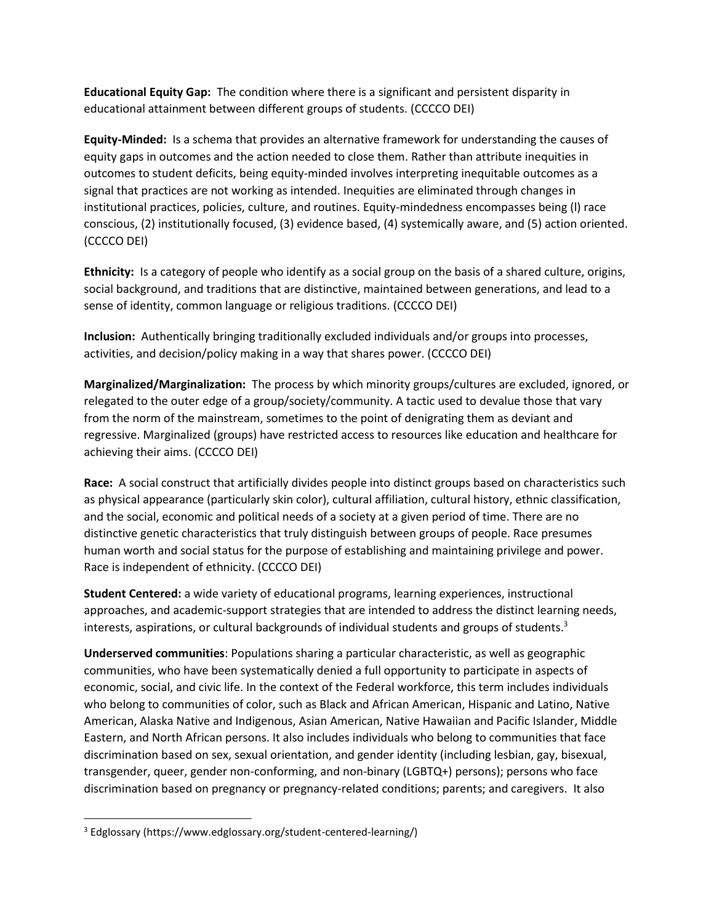**Educational Equity Gap:** The condition where there is a significant and persistent disparity in educational attainment between different groups of students. (CCCCO DEI)

**Equity-Minded:** Is a schema that provides an alternative framework for understanding the causes of equity gaps in outcomes and the action needed to close them. Rather than attribute inequities in outcomes to student deficits, being equity-minded involves interpreting inequitable outcomes as a signal that practices are not working as intended. Inequities are eliminated through changes in institutional practices, policies, culture, and routines. Equity-mindedness encompasses being (l) race conscious, (2) institutionally focused, (3) evidence based, (4) systemically aware, and (5) action oriented. (CCCCO DEI)

**Ethnicity:** Is a category of people who identify as a social group on the basis of a shared culture, origins, social background, and traditions that are distinctive, maintained between generations, and lead to a sense of identity, common language or religious traditions. (CCCCO DEI)

**Inclusion:** Authentically bringing traditionally excluded individuals and/or groups into processes, activities, and decision/policy making in a way that shares power. (CCCCO DEI)

**Marginalized/Marginalization:** The process by which minority groups/cultures are excluded, ignored, or relegated to the outer edge of a group/society/community. A tactic used to devalue those that vary from the norm of the mainstream, sometimes to the point of denigrating them as deviant and regressive. Marginalized (groups) have restricted access to resources like education and healthcare for achieving their aims. (CCCCO DEI)

**Race:** A social construct that artificially divides people into distinct groups based on characteristics such as physical appearance (particularly skin color), cultural affiliation, cultural history, ethnic classification, and the social, economic and political needs of a society at a given period of time. There are no distinctive genetic characteristics that truly distinguish between groups of people. Race presumes human worth and social status for the purpose of establishing and maintaining privilege and power. Race is independent of ethnicity. (CCCCO DEI)

**Student Centered:** a wide variety of educational programs, learning experiences, instructional approaches, and academic-support strategies that are intended to address the distinct learning needs, interests, aspirations, or cultural backgrounds of individual students and groups of students. $3$ 

**Underserved communities**: Populations sharing a particular characteristic, as well as geographic communities, who have been systematically denied a full opportunity to participate in aspects of economic, social, and civic life. In the context of the Federal workforce, this term includes individuals who belong to communities of color, such as Black and African American, Hispanic and Latino, Native American, Alaska Native and Indigenous, Asian American, Native Hawaiian and Pacific Islander, Middle Eastern, and North African persons. It also includes individuals who belong to communities that face discrimination based on sex, sexual orientation, and gender identity (including lesbian, gay, bisexual, transgender, queer, gender non-conforming, and non-binary (LGBTQ+) persons); persons who face discrimination based on pregnancy or pregnancy-related conditions; parents; and caregivers. It also

<sup>3</sup> Edglossary (https://www.edglossary.org/student-centered-learning/)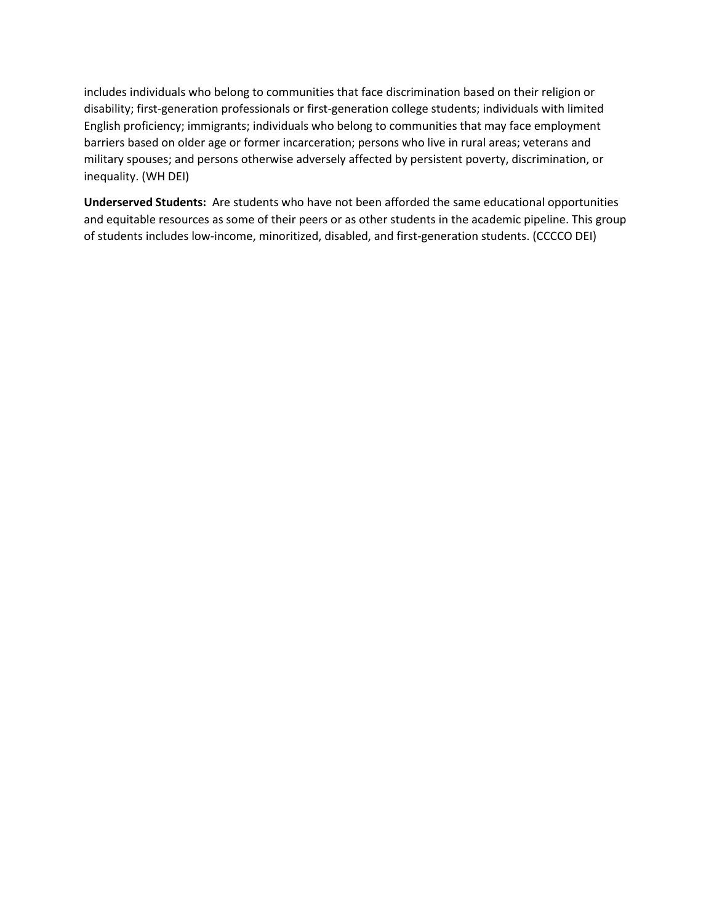includes individuals who belong to communities that face discrimination based on their religion or disability; first-generation professionals or first-generation college students; individuals with limited English proficiency; immigrants; individuals who belong to communities that may face employment barriers based on older age or former incarceration; persons who live in rural areas; veterans and military spouses; and persons otherwise adversely affected by persistent poverty, discrimination, or inequality. (WH DEI)

**Underserved Students:** Are students who have not been afforded the same educational opportunities and equitable resources as some of their peers or as other students in the academic pipeline. This group of students includes low-income, minoritized, disabled, and first-generation students. (CCCCO DEI)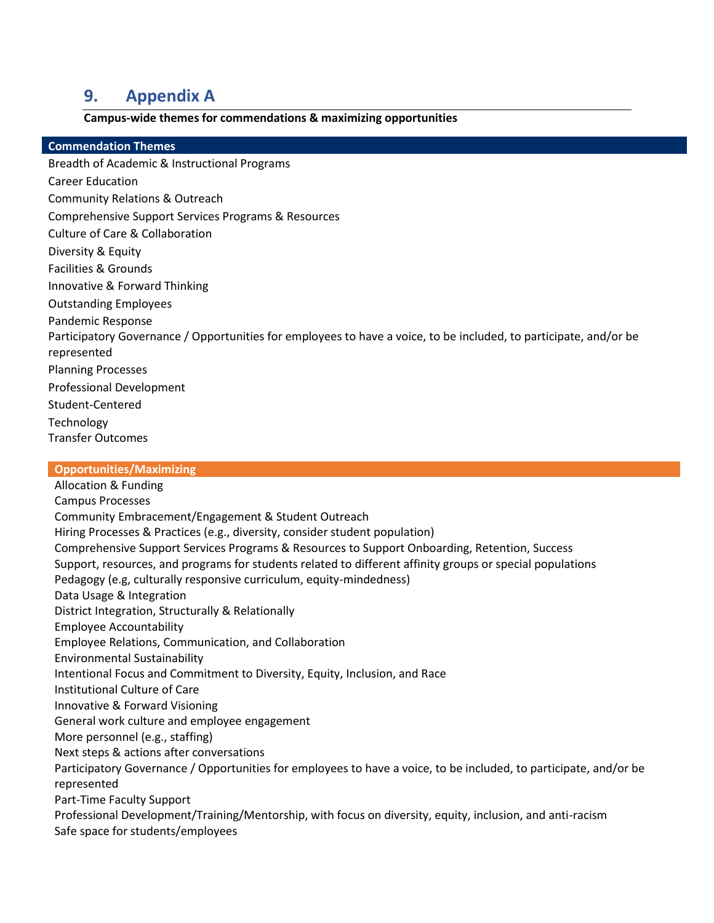### <span id="page-19-0"></span>**9. Appendix A**

#### **Campus-wide themes for commendations & maximizing opportunities**

#### **Commendation Themes**

Breadth of Academic & Instructional Programs Career Education Community Relations & Outreach Comprehensive Support Services Programs & Resources Culture of Care & Collaboration Diversity & Equity Facilities & Grounds Innovative & Forward Thinking Outstanding Employees Pandemic Response Participatory Governance / Opportunities for employees to have a voice, to be included, to participate, and/or be represented Planning Processes Professional Development Student-Centered Technology Transfer Outcomes

#### **Opportunities/Maximizing**

Allocation & Funding Campus Processes Community Embracement/Engagement & Student Outreach Hiring Processes & Practices (e.g., diversity, consider student population) Comprehensive Support Services Programs & Resources to Support Onboarding, Retention, Success Support, resources, and programs for students related to different affinity groups or special populations Pedagogy (e.g, culturally responsive curriculum, equity-mindedness) Data Usage & Integration District Integration, Structurally & Relationally Employee Accountability Employee Relations, Communication, and Collaboration Environmental Sustainability Intentional Focus and Commitment to Diversity, Equity, Inclusion, and Race Institutional Culture of Care Innovative & Forward Visioning General work culture and employee engagement More personnel (e.g., staffing) Next steps & actions after conversations Participatory Governance / Opportunities for employees to have a voice, to be included, to participate, and/or be represented Part-Time Faculty Support Professional Development/Training/Mentorship, with focus on diversity, equity, inclusion, and anti-racism Safe space for students/employees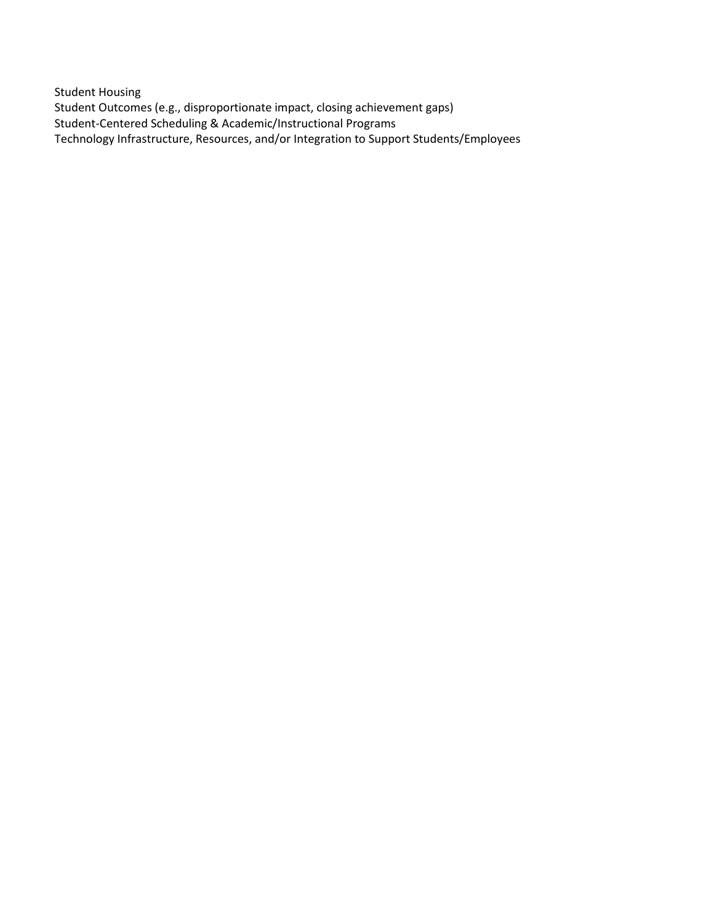Student Housing Student Outcomes (e.g., disproportionate impact, closing achievement gaps) Student-Centered Scheduling & Academic/Instructional Programs Technology Infrastructure, Resources, and/or Integration to Support Students/Employees